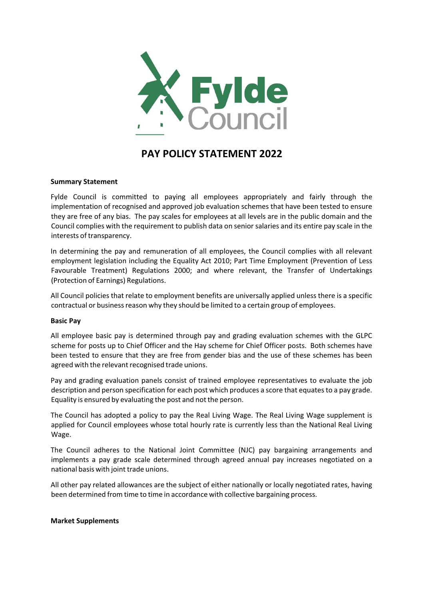

# **PAY POLICY STATEMENT 2022**

# **Summary Statement**

Fylde Council is committed to paying all employees appropriately and fairly through the implementation of recognised and approved job evaluation schemes that have been tested to ensure they are free of any bias. The pay scales for employees at all levels are in the public domain and the Council complies with the requirement to publish data on senior salaries and its entire pay scale in the interests of transparency.

In determining the pay and remuneration of all employees, the Council complies with all relevant employment legislation including the Equality Act 2010; Part Time Employment (Prevention of Less Favourable Treatment) Regulations 2000; and where relevant, the Transfer of Undertakings (Protection of Earnings) Regulations.

All Council policies that relate to employment benefits are universally applied unless there is a specific contractual or business reason why they should be limited to a certain group of employees.

## **Basic Pay**

All employee basic pay is determined through pay and grading evaluation schemes with the GLPC scheme for posts up to Chief Officer and the Hay scheme for Chief Officer posts. Both schemes have been tested to ensure that they are free from gender bias and the use of these schemes has been agreed with the relevant recognised trade unions.

Pay and grading evaluation panels consist of trained employee representatives to evaluate the job description and person specification for each post which produces a score that equates to a pay grade. Equality is ensured by evaluating the post and not the person.

The Council has adopted a policy to pay the Real Living Wage. The Real Living Wage supplement is applied for Council employees whose total hourly rate is currently less than the National Real Living Wage.

The Council adheres to the National Joint Committee (NJC) pay bargaining arrangements and implements a pay grade scale determined through agreed annual pay increases negotiated on a national basis with joint trade unions.

All other pay related allowances are the subject of either nationally or locally negotiated rates, having been determined from time to time in accordance with collective bargaining process.

## **Market Supplements**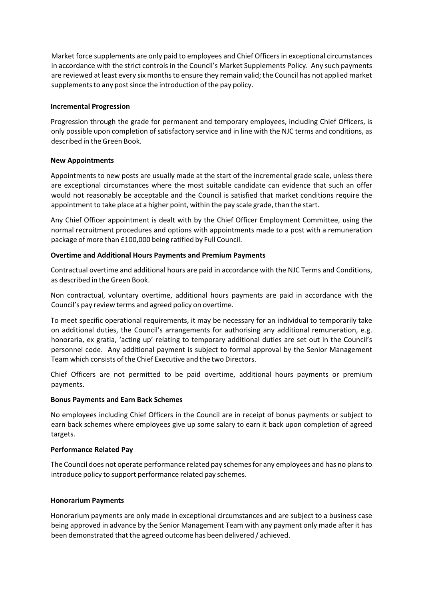Market force supplements are only paid to employees and Chief Officers in exceptional circumstances in accordance with the strict controls in the Council's Market Supplements Policy. Any such payments are reviewed at least every six monthsto ensure they remain valid; the Council has not applied market supplements to any post since the introduction of the pay policy.

# **Incremental Progression**

Progression through the grade for permanent and temporary employees, including Chief Officers, is only possible upon completion of satisfactory service and in line with the NJC terms and conditions, as described in the Green Book.

## **New Appointments**

Appointments to new posts are usually made at the start of the incremental grade scale, unless there are exceptional circumstances where the most suitable candidate can evidence that such an offer would not reasonably be acceptable and the Council is satisfied that market conditions require the appointment to take place at a higher point, within the pay scale grade, than the start.

Any Chief Officer appointment is dealt with by the Chief Officer Employment Committee, using the normal recruitment procedures and options with appointments made to a post with a remuneration package of more than £100,000 being ratified by Full Council.

# **Overtime and Additional Hours Payments and Premium Payments**

Contractual overtime and additional hours are paid in accordance with the NJC Terms and Conditions, as described in the Green Book.

Non contractual, voluntary overtime, additional hours payments are paid in accordance with the Council's pay review terms and agreed policy on overtime.

To meet specific operational requirements, it may be necessary for an individual to temporarily take on additional duties, the Council's arrangements for authorising any additional remuneration, e.g. honoraria, ex gratia, 'acting up' relating to temporary additional duties are set out in the Council's personnel code. Any additional payment is subject to formal approval by the Senior Management Team which consists of the Chief Executive and the two Directors.

Chief Officers are not permitted to be paid overtime, additional hours payments or premium payments.

## **Bonus Payments and Earn Back Schemes**

No employees including Chief Officers in the Council are in receipt of bonus payments or subject to earn back schemes where employees give up some salary to earn it back upon completion of agreed targets.

## **Performance Related Pay**

The Council does not operate performance related pay schemes for any employees and has no plans to introduce policy to support performance related pay schemes.

## **Honorarium Payments**

Honorarium payments are only made in exceptional circumstances and are subject to a business case being approved in advance by the Senior Management Team with any payment only made after it has been demonstrated that the agreed outcome has been delivered / achieved.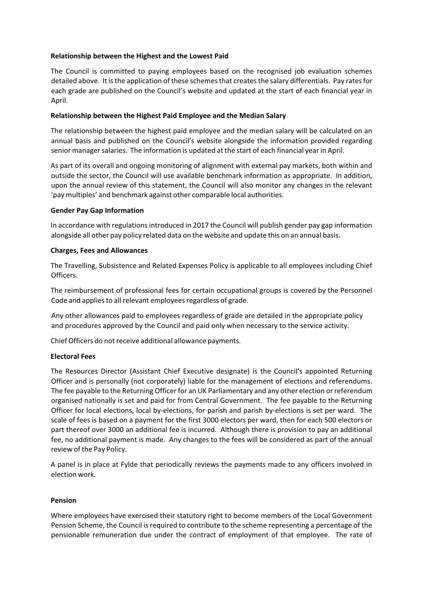# **Relationship between the Highest and the Lowest Paid**

The Council is committed to paying employees based on the recognised job evaluation schemes detailed above. It is the application of these schemes that creates the salary differentials. Pay rates for each grade are published on the Council's website and updated at the start of each financial year in April.

# **Relationship between the Highest Paid Employee and the Median Salary**

The relationship between the highest paid employee and the median salary will be calculated on an annual basis and published on the Council's website alongside the information provided regarding senior manager salaries. The information is updated at the start of each financial year in April.

As part of its overall and ongoing monitoring of alignment with external pay markets, both within and outside the sector, the Council will use available benchmark information as appropriate. In addition, upon the annual review of this statement, the Council will also monitor any changes in the relevant 'pay multiples' and benchmark against other comparable local authorities.

# **Gender Pay Gap Information**

In accordance with regulations introduced in 2017 the Council will publish gender pay gap information alongside all other pay policy related data on the website and update this on an annual basis.

# **Charges, Fees and Allowances**

The Travelling, Subsistence and Related Expenses Policy is applicable to all employees including Chief Officers.

The reimbursement of professional fees for certain occupational groups is covered by the Personnel Code and applies to all relevant employees regardless of grade.

Any other allowances paid to employees regardless of grade are detailed in the appropriate policy and procedures approved by the Council and paid only when necessary to the service activity.

Chief Officers do not receive additional allowance payments.

# **Electoral Fees**

The Resources Director (Assistant Chief Executive designate) is the Council's appointed Returning Officer and is personally (not corporately) liable for the management of elections and referendums. The fee payable to the Returning Officer for an UK Parliamentary and any other election or referendum organised nationally is set and paid for from Central Government. The fee payable to the Returning Officer for local elections, local by‐elections, for parish and parish by‐elections is set per ward. The scale of fees is based on a payment for the first 3000 electors per ward, then for each 500 electors or part thereof over 3000 an additional fee is incurred. Although there is provision to pay an additional fee, no additional payment is made. Any changes to the fees will be considered as part of the annual review of the Pay Policy.

A panel is in place at Fylde that periodically reviews the payments made to any officers involved in election work.

# **Pension**

Where employees have exercised their statutory right to become members of the Local Government Pension Scheme, the Council is required to contribute to the scheme representing a percentage of the pensionable remuneration due under the contract of employment of that employee. The rate of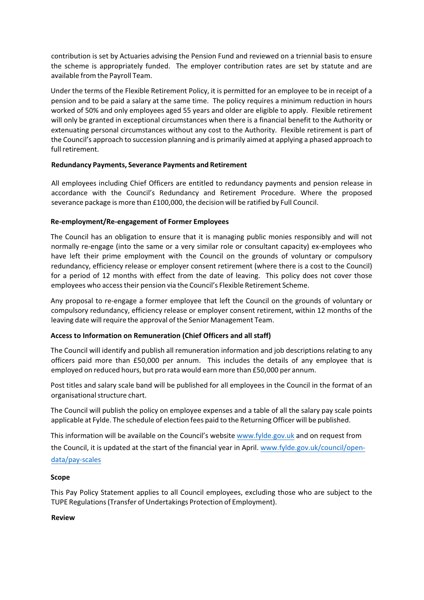contribution is set by Actuaries advising the Pension Fund and reviewed on a triennial basis to ensure the scheme is appropriately funded. The employer contribution rates are set by statute and are available from the Payroll Team.

Under the terms of the Flexible Retirement Policy, it is permitted for an employee to be in receipt of a pension and to be paid a salary at the same time. The policy requires a minimum reduction in hours worked of 50% and only employees aged 55 years and older are eligible to apply. Flexible retirement will only be granted in exceptional circumstances when there is a financial benefit to the Authority or extenuating personal circumstances without any cost to the Authority. Flexible retirement is part of the Council's approach to succession planning and is primarily aimed at applying a phased approach to full retirement.

# **Redundancy Payments, Severance Payments and Retirement**

All employees including Chief Officers are entitled to redundancy payments and pension release in accordance with the Council's Redundancy and Retirement Procedure. Where the proposed severance package is more than £100,000, the decision will be ratified by Full Council.

# **Re‐employment/Re‐engagement of Former Employees**

The Council has an obligation to ensure that it is managing public monies responsibly and will not normally re-engage (into the same or a very similar role or consultant capacity) ex-employees who have left their prime employment with the Council on the grounds of voluntary or compulsory redundancy, efficiency release or employer consent retirement (where there is a cost to the Council) for a period of 12 months with effect from the date of leaving. This policy does not cover those employees who accesstheir pension via the Council's Flexible Retirement Scheme.

Any proposal to re‐engage a former employee that left the Council on the grounds of voluntary or compulsory redundancy, efficiency release or employer consent retirement, within 12 months of the leaving date will require the approval of the Senior Management Team.

# **Access to Information on Remuneration (Chief Officers and all staff)**

The Council will identify and publish all remuneration information and job descriptions relating to any officers paid more than £50,000 per annum. This includes the details of any employee that is employed on reduced hours, but pro rata would earn more than £50,000 per annum.

Post titles and salary scale band will be published for all employees in the Council in the format of an organisationalstructure chart.

The Council will publish the policy on employee expenses and a table of all the salary pay scale points applicable at Fylde. The schedule of election fees paid to the Returning Officer will be published.

This information will be available on the Council's website [www.fylde.gov.uk](http://www.fylde.gov.uk/) and on request from

the Council, it is updated at the start of the financial year in April. www.fylde.gov.uk/council/open‐ data/pay‐scales

# **Scope**

This Pay Policy Statement applies to all Council employees, excluding those who are subject to the TUPE Regulations(Transfer of Undertakings Protection of Employment).

# **Review**